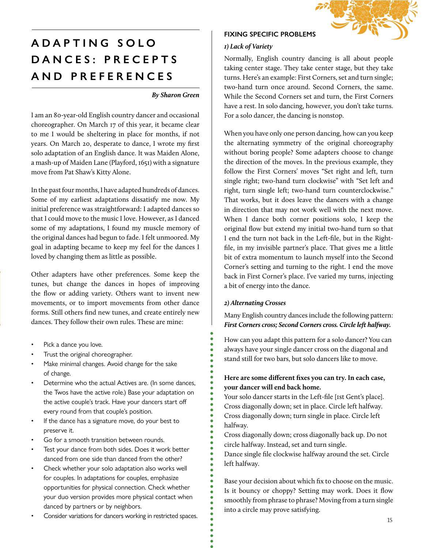

# **A D A P T I N G S O L O D A N C E S : P R E C E P T S AND PREFERENCES**

#### *By Sharon Green*

I am an 80-year-old English country dancer and occasional choreographer. On March 17 of this year, it became clear to me I would be sheltering in place for months, if not years. On March 20, desperate to dance, I wrote my first solo adaptation of an English dance. It was Maiden Alone, a mash-up of Maiden Lane (Playford, 1651) with a signature move from Pat Shaw's Kitty Alone.

In the past four months, I have adapted hundreds of dances. Some of my earliest adaptations dissatisfy me now. My initial preference was straightforward: I adapted dances so that I could move to the music I love. However, as I danced some of my adaptations, I found my muscle memory of the original dances had begun to fade. I felt unmoored. My goal in adapting became to keep my feel for the dances I loved by changing them as little as possible.

Other adapters have other preferences. Some keep the tunes, but change the dances in hopes of improving the flow or adding variety. Others want to invent new movements, or to import movements from other dance forms. Still others find new tunes, and create entirely new dances. They follow their own rules. These are mine:

- Pick a dance you love.
- Trust the original choreographer.
- Make minimal changes. Avoid change for the sake of change.
- Determine who the actual Actives are. (In some dances, the Twos have the active role.) Base your adaptation on the active couple's track. Have your dancers start off every round from that couple's position.
- If the dance has a signature move, do your best to preserve it.
- Go for a smooth transition between rounds.
- Test your dance from both sides. Does it work better danced from one side than danced from the other?
- Check whether your solo adaptation also works well for couples. In adaptations for couples, emphasize opportunities for physical connection. Check whether your duo version provides more physical contact when danced by partners or by neighbors.
- Consider variations for dancers working in restricted spaces.<br>
15

#### **FIXING SPECIFIC PROBLEMS**

#### *1) Lack of Variety*

Normally, English country dancing is all about people taking center stage. They take center stage, but they take turns. Here's an example: First Corners, set and turn single; two-hand turn once around. Second Corners, the same. While the Second Corners set and turn, the First Corners have a rest. In solo dancing, however, you don't take turns. For a solo dancer, the dancing is nonstop.

When you have only one person dancing, how can you keep the alternating symmetry of the original choreography without boring people? Some adapters choose to change the direction of the moves. In the previous example, they follow the First Corners' moves "Set right and left, turn single right; two-hand turn clockwise" with "Set left and right, turn single left; two-hand turn counterclockwise." That works, but it does leave the dancers with a change in direction that may not work well with the next move. When I dance both corner positions solo, I keep the original flow but extend my initial two-hand turn so that I end the turn not back in the Left-file, but in the Rightfile, in my invisible partner's place. That gives me a little bit of extra momentum to launch myself into the Second Corner's setting and turning to the right. I end the move back in First Corner's place. I've varied my turns, injecting a bit of energy into the dance.

#### *2) Alternating Crosses*

Many English country dances include the following pattern: *First Corners cross; Second Corners cross. Circle left halfway.*

How can you adapt this pattern for a solo dancer? You can always have your single dancer cross on the diagonal and stand still for two bars, but solo dancers like to move.

### **Here are some different fixes you can try. In each case, your dancer will end back home.**

Your solo dancer starts in the Left-file [1st Gent's place]. Cross diagonally down; set in place. Circle left halfway. Cross diagonally down; turn single in place. Circle left halfway.

Cross diagonally down; cross diagonally back up. Do not circle halfway. Instead, set and turn single.

Dance single file clockwise halfway around the set. Circle left halfway.

Base your decision about which fix to choose on the music. Is it bouncy or choppy? Setting may work. Does it flow smoothly from phrase to phrase? Moving from a turn single into a circle may prove satisfying.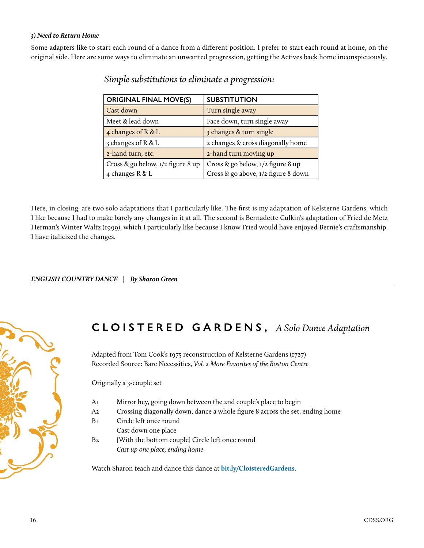#### *3) Need to Return Home*

Some adapters like to start each round of a dance from a different position. I prefer to start each round at home, on the original side. Here are some ways to eliminate an unwanted progression, getting the Actives back home inconspicuously.

| <b>ORIGINAL FINAL MOVE(S)</b>     | <b>SUBSTITUTION</b>                 |
|-----------------------------------|-------------------------------------|
| Cast down                         | Turn single away                    |
| Meet & lead down                  | Face down, turn single away         |
| 4 changes of R & L                | 3 changes & turn single             |
| 3 changes of R & L                | 2 changes & cross diagonally home   |
| 2-hand turn, etc.                 | 2-hand turn moving up               |
| Cross & go below, 1/2 figure 8 up | Cross & go below, I/2 figure 8 up   |
| 4 changes R & L                   | Cross & go above, 1/2 figure 8 down |

*Simple substitutions to eliminate a progression:*

Here, in closing, are two solo adaptations that I particularly like. The first is my adaptation of Kelsterne Gardens, which I like because I had to make barely any changes in it at all. The second is Bernadette Culkin's adaptation of Fried de Metz Herman's Winter Waltz (1999), which I particularly like because I know Fried would have enjoyed Bernie's craftsmanship. I have italicized the changes.

#### *ENGLISH COUNTRY DANCE | By Sharon Green*



### **CLOISTERED GARDENS,** *A Solo Dance Adaptation*

Adapted from Tom Cook's 1975 reconstruction of Kelsterne Gardens (1727) Recorded Source: Bare Necessities, *Vol. 2 More Favorites of the Boston Centre*

Originally a 3-couple set

- A1 Mirror hey, going down between the 2nd couple's place to begin
- A2 Crossing diagonally down, dance a whole figure 8 across the set, ending home
- B1 Circle left once round Cast down one place
- B2 [With the bottom couple] Circle left once round *Cast up one place, ending home*

Watch Sharon teach and dance this dance at **[bit.ly/CloisteredGardens](http://bit.ly/CloisteredGardens)**.